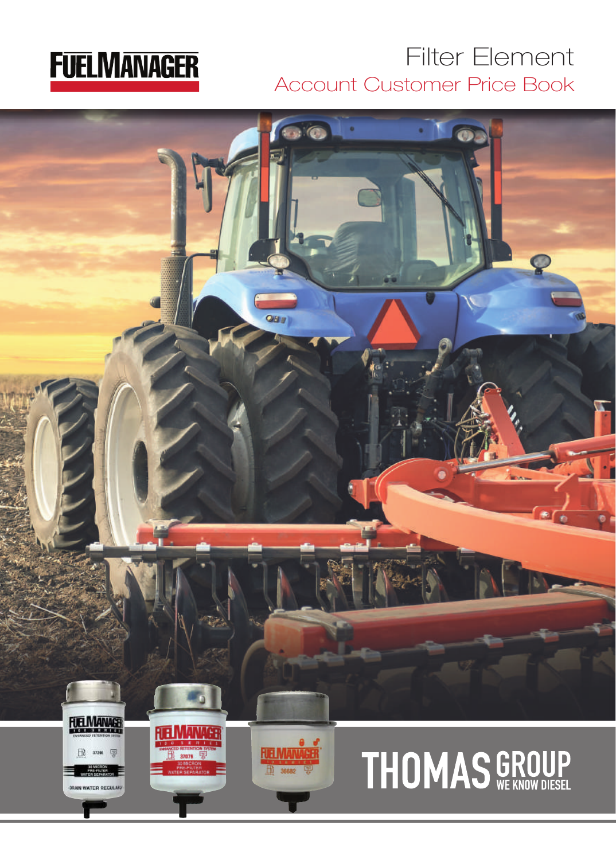# **FUELMANAGER**

# Filter Element Account Customer Price Book

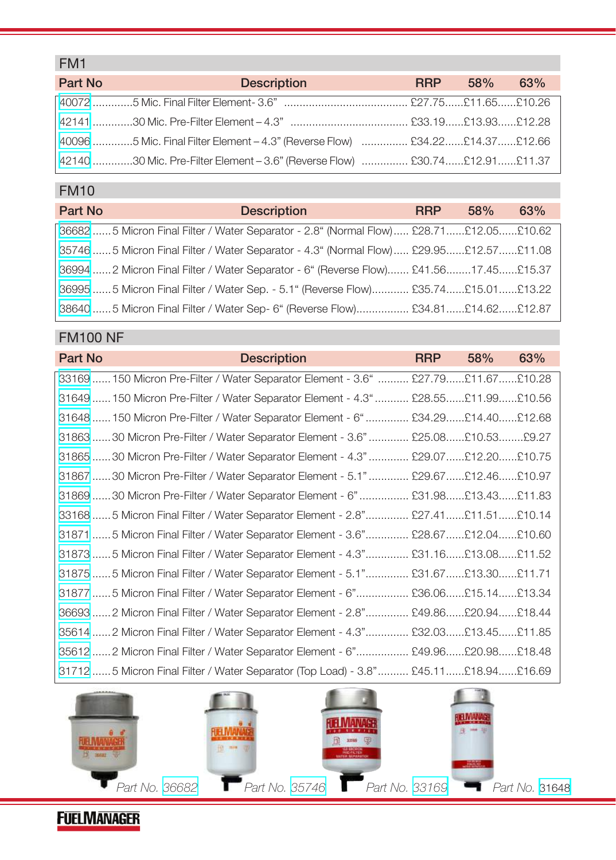## FM1

| Part No | <b>Description</b>                                                                             | <b>RRP</b> | 58% s | 63% |
|---------|------------------------------------------------------------------------------------------------|------------|-------|-----|
|         |                                                                                                |            |       |     |
|         |                                                                                                |            |       |     |
|         | .40096 ……………5 Mic. Final Filter Element – 4.3" (Reverse Flow)    ……………… £34.22……£14.37……£12.66 |            |       |     |
|         | 42140 ………….30 Mic. Pre-Filter Element – 3.6" (Reverse Flow)   ……………. £30.74……£12.91……£11.37    |            |       |     |

### FM10

| Part No | <b>Description</b>                                                                    | <b>RRP</b> | 58% | 63% |
|---------|---------------------------------------------------------------------------------------|------------|-----|-----|
|         | 36682 5 Micron Final Filter / Water Separator - 2.8" (Normal Flow) £28.71£12.05£10.62 |            |     |     |
|         | 35746 5 Micron Final Filter / Water Separator - 4.3" (Normal Flow) £29.95£12.57£11.08 |            |     |     |
|         | 36994  2 Micron Final Filter / Water Separator - 6" (Reverse Flow) £41.5617.45£15.37  |            |     |     |
|         | 36995 5 Micron Final Filter / Water Sep. - 5.1" (Reverse Flow) £35.74£15.01£13.22     |            |     |     |
|         | 38640 5 Micron Final Filter / Water Sep- 6" (Reverse Flow) £34.81£14.62£12.87         |            |     |     |

#### FM100 NF

| Part No                                                                             | <b>Description</b> | <b>RRP</b> | 58% | 63% |
|-------------------------------------------------------------------------------------|--------------------|------------|-----|-----|
| 33169  150 Micron Pre-Filter / Water Separator Element - 3.6"  £27.79 £11.67 £10.28 |                    |            |     |     |
| 31649  150 Micron Pre-Filter / Water Separator Element - 4.3"  £28.55£11.99£10.56   |                    |            |     |     |
| 31648  150 Micron Pre-Filter / Water Separator Element - 6"  £34.29 £14.40 £12.68   |                    |            |     |     |
| 31863 30 Micron Pre-Filter / Water Separator Element - 3.6"  £25.08 £10.53 £9.27    |                    |            |     |     |
| 31865  30 Micron Pre-Filter / Water Separator Element - 4.3"  £29.07 £12.20 £10.75  |                    |            |     |     |
| 31867 30 Micron Pre-Filter / Water Separator Element - 5.1"  £29.67 £12.46 £10.97   |                    |            |     |     |
| 31869 30 Micron Pre-Filter / Water Separator Element - 6"  £31.98£13.43£11.83       |                    |            |     |     |
| 33168 5 Micron Final Filter / Water Separator Element - 2.8" £27.41£11.51£10.14     |                    |            |     |     |
| 31871 5 Micron Final Filter / Water Separator Element - 3.6" £28.67£12.04£10.60     |                    |            |     |     |
| 21.165 Micron Final Filter / Water Separator Element - 4.3" £31.16£13.08£11.52      |                    |            |     |     |
| 31875 5 Micron Final Filter / Water Separator Element - 5.1" £31.67£13.30£11.71     |                    |            |     |     |
| 31877 5 Micron Final Filter / Water Separator Element - 6" £36.06£15.14£13.34       |                    |            |     |     |
| 36693  2 Micron Final Filter / Water Separator Element - 2.8" £49.86£20.94£18.44    |                    |            |     |     |
| 35614  2 Micron Final Filter / Water Separator Element - 4.3" £32.03£13.45£11.85    |                    |            |     |     |
| 35612  2 Micron Final Filter / Water Separator Element - 6" £49.96£20.98£18.48      |                    |            |     |     |
| 31712 5 Micron Final Filter / Water Separator (Top Load) - 3.8" £45.11£18.94£16.69  |                    |            |     |     |



**FUELMANAGER**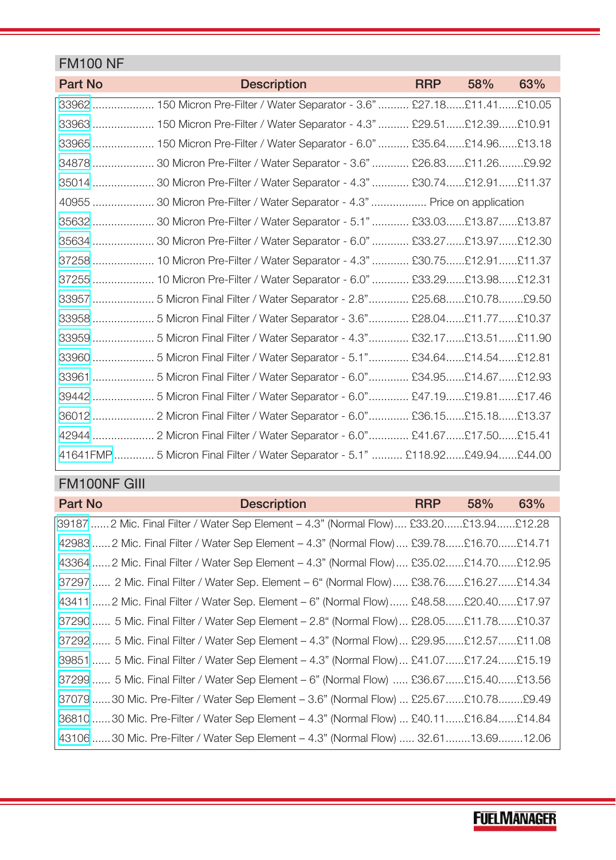#### FM100 NF

| Part No | <b>Description</b>                                                            | <b>RRP</b> | 58% | 63% |
|---------|-------------------------------------------------------------------------------|------------|-----|-----|
|         | 33962  150 Micron Pre-Filter / Water Separator - 3.6"  £27.18 £11.41 £10.05   |            |     |     |
|         | 33963  150 Micron Pre-Filter / Water Separator - 4.3"  £29.51 £12.39 £10.91   |            |     |     |
|         | 33965  150 Micron Pre-Filter / Water Separator - 6.0"  £35.64£14.96£13.18     |            |     |     |
|         | 34878  30 Micron Pre-Filter / Water Separator - 3.6"  £26.83£11.26£9.92       |            |     |     |
|         | 35014  30 Micron Pre-Filter / Water Separator - 4.3"  £30.74£12.91£11.37      |            |     |     |
|         | 40955  30 Micron Pre-Filter / Water Separator - 4.3"  Price on application    |            |     |     |
|         | 35632  30 Micron Pre-Filter / Water Separator - 5.1"  £33.03£13.87£13.87      |            |     |     |
|         | 35634  30 Micron Pre-Filter / Water Separator - 6.0"  £33.27 £13.97 £12.30    |            |     |     |
|         | 37258  10 Micron Pre-Filter / Water Separator - 4.3"  £30.75£12.91£11.37      |            |     |     |
|         | 37255  10 Micron Pre-Filter / Water Separator - 6.0"  £33.29 £13.98 £12.31    |            |     |     |
|         | 33957  5 Micron Final Filter / Water Separator - 2.8" £25.68£10.78£9.50       |            |     |     |
|         | 33958  5 Micron Final Filter / Water Separator - 3.6" £28.04£11.77£10.37      |            |     |     |
|         | 33959  5 Micron Final Filter / Water Separator - 4.3"  £32.17 £13.51 £11.90   |            |     |     |
|         | 33960  5 Micron Final Filter / Water Separator - 5.1" £34.64£14.54£12.81      |            |     |     |
|         | 33961  5 Micron Final Filter / Water Separator - 6.0" £34.95£14.67£12.93      |            |     |     |
|         | 39442  5 Micron Final Filter / Water Separator - 6.0" £47.19£19.81£17.46      |            |     |     |
|         | 36012  2 Micron Final Filter / Water Separator - 6.0" £36.15£15.18£13.37      |            |     |     |
|         | 42944  2 Micron Final Filter / Water Separator - 6.0" £41.67£17.50£15.41      |            |     |     |
|         | 41641FMP  5 Micron Final Filter / Water Separator - 5.1"  £118.92£49.94£44.00 |            |     |     |

### FM100NF GIII

| Part No | <b>Description</b>                                                                            | <b>RRP</b> | 58% | 63% |
|---------|-----------------------------------------------------------------------------------------------|------------|-----|-----|
|         | 39187 ……2 Mic. Final Filter / Water Sep Element – 4.3" (Normal Flow)…. £33.20……£13.94……£12.28 |            |     |     |
|         | 42983  2 Mic. Final Filter / Water Sep Element - 4.3" (Normal Flow)  £39.78 £16.70 £14.71     |            |     |     |
|         | 43364  2 Mic. Final Filter / Water Sep Element - 4.3" (Normal Flow)  £35.02£14.70£12.95       |            |     |     |
|         | 37297  2 Mic. Final Filter / Water Sep. Element – 6" (Normal Flow) £38.76£16.27£14.34         |            |     |     |
|         | 43411  2 Mic. Final Filter / Water Sep. Element – 6" (Normal Flow)  £48.58 £20.40 £17.97      |            |     |     |
|         | 37290  5 Mic. Final Filter / Water Sep Element - 2.8" (Normal Flow)  £28.05£11.78£10.37       |            |     |     |
|         | 37292  5 Mic. Final Filter / Water Sep Element – 4.3" (Normal Flow)  £29.95£12.57£11.08       |            |     |     |
|         | 39851  5 Mic. Final Filter / Water Sep Element – 4.3" (Normal Flow)  £41.07 £17.24 £15.19     |            |     |     |
|         | 37299  5 Mic. Final Filter / Water Sep Element – 6" (Normal Flow)  £36.67 £15.40 £13.56       |            |     |     |
|         | 37079 30 Mic. Pre-Filter / Water Sep Element – 3.6" (Normal Flow)  £25.67£10.78£9.49          |            |     |     |
|         | 36810 30 Mic. Pre-Filter / Water Sep Element – 4.3" (Normal Flow)  £40.11 £16.84 £14.84       |            |     |     |
|         | 43106 30 Mic. Pre-Filter / Water Sep Element – 4.3" (Normal Flow)  32.61 13.69 12.06          |            |     |     |